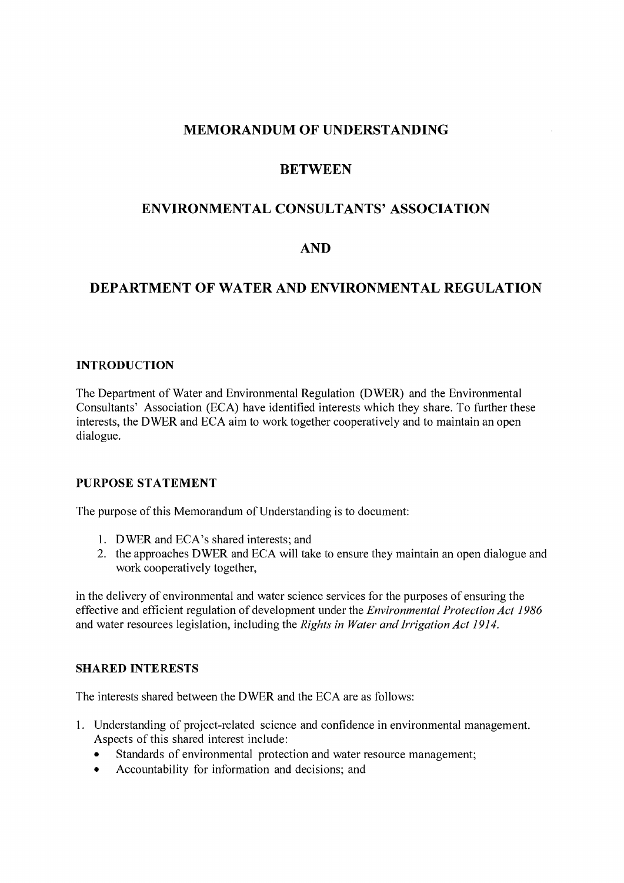### **MEMORANDUM OF UNDERSTANDING**

### **BETWEEN**

## **ENVIRONMENTAL CONSULTANTS' ASSOCIATION**

# **AND**

# **DEPARTMENT OF WATER AND ENVIRONMENTAL REGULATION**

#### **INTRODUCTION**

The Department of Water and Environmental Regulation (DWER) and the Environmental Consultants' Association (ECA) have identified interests which they share. To further these interests, the DWER and ECA aim to work together cooperatively and to maintain an open dialogue.

#### **PURPOSE STATEMENT**

The purpose of this Memorandum of Understanding is to document:

- 1. DWER and ECA's shared interests; and
- 2. the approaches DWER and ECA will take to ensure they maintain an open dialogue and work cooperatively together,

in the delivery of environmental and water science services for the purposes of ensuring the effective and efficient regulation of development under the *Environmental Protection Act 1986*  and water resources legislation, including the *Rights in Water and Irrigation Act 1914.* 

#### **SHARED INTERESTS**

The interests shared between the DWER and the ECA are as follows:

- 1. Understanding of project-related science and confidence in environmental management. Aspects of this shared interest include:
	- Standards of environmental protection and water resource management;
	- ® Accountability for information and decisions; and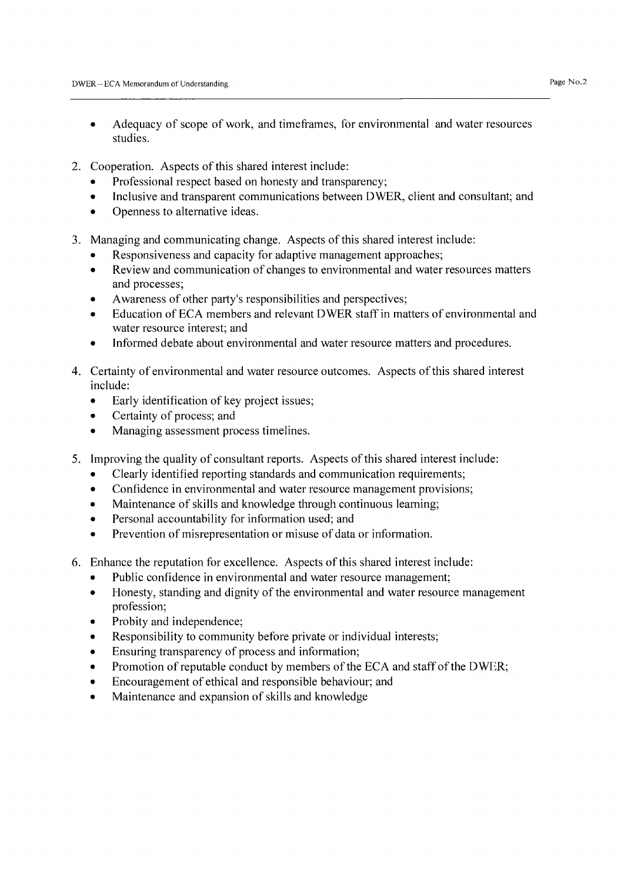- Adequacy of scope of work, and timeframes, for environmental and water resources studies.
- 2. Cooperation. Aspects of this shared interest include:
	- Professional respect based on honesty and transparency;
	- Inclusive and transparent communications between DWER, client and consultant; and
	- Openness to alternative ideas.
- 3. Managing and communicating change. Aspects of this shared interest include:
	- Responsiveness and capacity for adaptive management approaches;
	- Review and communication of changes to environmental and water resources matters and processes;
	- Awareness of other party's responsibilities and perspectives;
	- Education of ECA members and relevant DWER staff in matters of environmental and water resource interest; and
	- Informed debate about environmental and water resource matters and procedures.
- 4. Certainty of environmental and water resource outcomes. Aspects of this shared interest include:
	- Early identification of key project issues;
	- Certainty of process; and
	- Managing assessment process timelines.
- 5. Improving the quality of consultant reports. Aspects of this shared interest include:
	- Clearly identified reporting standards and communication requirements;
	- Confidence in environmental and water resource management provisions;
	- Maintenance of skills and knowledge through continuous learning;
	- Personal accountability for information used; and
	- Prevention of misrepresentation or misuse of data or information.
- 6. Enhance the reputation for excellence. Aspects of this shared interest include:
	- Public confidence in environmental and water resource management;
	- Honesty, standing and dignity of the environmental and water resource management profession;
	- Probity and independence;
	- Responsibility to community before private or individual interests;
	- Ensuring transparency of process and information;
	- Promotion of reputable conduct by members of the ECA and staff of the DWER;
	- Encouragement of ethical and responsible behaviour; and
	- Maintenance and expansion of skills and knowledge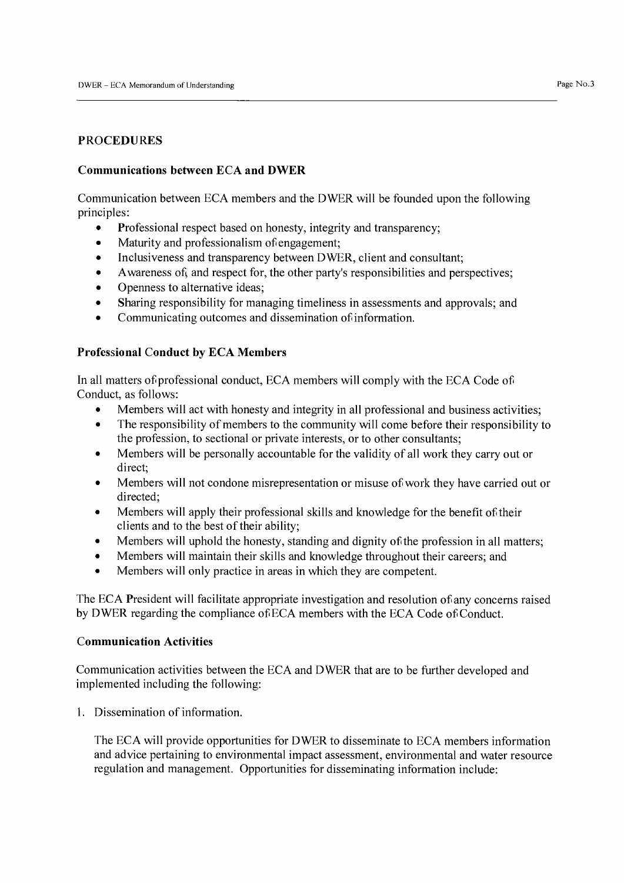### **PROCEDURES**

#### **Communications between ECA and DWER**

Communication between ECA members and the DWER will be founded upon the following principles:

- Professional respect based on honesty, integrity and transparency;
- Maturity and professionalism of engagement;
- Inclusiveness and transparency between DWER, client and consultant;
- Awareness of, and respect for, the other party's responsibilities and perspectives;
- Openness to alternative ideas;
- Sharing responsibility for managing timeliness in assessments and approvals; and
- Communicating outcomes and dissemination of information.

#### **Professional Conduct by ECA Members**

In all matters of professional conduct, ECA members will comply with the ECA Code of Conduct, as follows:

- Members will act with honesty and integrity in all professional and business activities;
- The responsibility of members to the community will come before their responsibility to the profession, to sectional or private interests, or to other consultants;
- Members will be personally accountable for the validity of all work they carry out or direct;
- Members will not condone misrepresentation or misuse of work they have carried out or directed;
- Members will apply their professional skills and knowledge for the benefit of their clients and to the best of their ability;
- Members will uphold the honesty, standing and dignity of the profession in all matters;
- Members will maintain their skills and knowledge throughout their careers; and
- Members will only practice in areas in which they are competent.

The ECA President will facilitate appropriate investigation and resolution of any concerns raised by DWER regarding the compliance of ECA members with the ECA Code of Conduct.

### **Communication Activities**

Communication activities between the ECA and DWER that are to be further developed and implemented including the following:

1. Dissemination of information.

The ECA will provide opportunities for DWER to disseminate to ECA members information and advice pertaining to environmental impact assessment, environmental and water resource regulation and management. Opportunities for disseminating information include: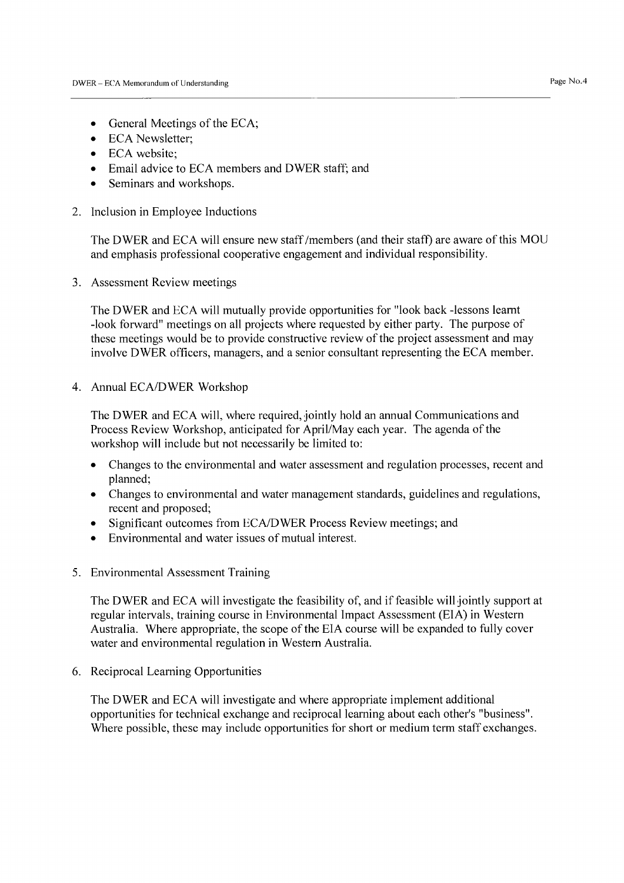- General Meetings of the ECA;
- ECA Newsletter:
- ECA website:
- Email advice to ECA members and DWER staff; and
- Seminars and workshops.
- 2. Inclusion in Employee Inductions

The DWER and ECA will ensure new staff /members (and their staff) are aware of this MOU and emphasis professional cooperative engagement and individual responsibility.

3. Assessment Review meetings

The DWER and ECA will mutually provide opportunities for "look back -lessons learnt -look forward" meetings on all projects where requested by either party. The purpose of these meetings would be to provide constructive review of the project assessment and may involve DWER officers, managers, and a senior consultant representing the ECA member.

4. Annual ECA/DWER Workshop

The DWER and ECA will, where required, jointly hold an annual Communications and Process Review Workshop, anticipated for April/May each year. The agenda of the workshop will include but not necessarily be limited to:

- Changes to the environmental and water assessment and regulation processes, recent and planned;
- Changes to environmental and water management standards, guidelines and regulations, recent and proposed;
- Significant outcomes from ECA/DWER Process Review meetings; and
- Environmental and water issues of mutual interest.
- 5. Environmental Assessment Training

The DWER and ECA will investigate the feasibility of, and if feasible will jointly support at regular intervals, training course in Environmental Impact Assessment (EIA) in Western Australia. Where appropriate, the scope of the EIA course will be expanded to fully cover water and environmental regulation in Western Australia.

6. Reciprocal Learning Opportunities

The DWER and ECA will investigate and where appropriate implement additional opportunities for technical exchange and reciprocal learning about each other's "business". Where possible, these may include opportunities for short or medium term staff exchanges.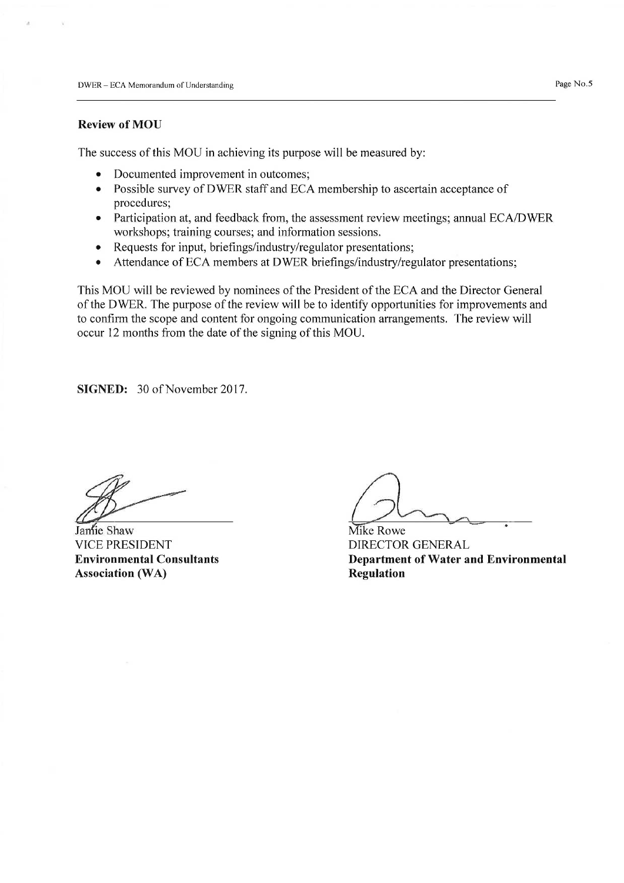#### **Review of MOU**

The success of this MOU in achieving its purpose will be measured by:

- Documented improvement in outcomes;
- ® Possible survey of DWER staff and ECA membership to ascertain acceptance of procedures;
- » Participation at, and feedback from, the assessment review meetings; annual ECA/DWER workshops; training courses; and information sessions.
- Requests for input, briefings/industry/regulator presentations;
- Attendance of ECA members at DWER briefings/industry/regulator presentations;

This MOU will be reviewed by nominees of the President of the ECA and the Director General of the DWER. The purpose of the review will be to identify opportunities for improvements and to confirm the scope and content for ongoing communication arrangements. The review will occur 12 months from the date of the signing of this MOU.

**SIGNED:** 30 of November 2017.

Jamie Shaw VICE PRESIDENT **Environmental Consultants Association (WA)** 

Mike Rowe DIRECTOR GENERAL **Department of Water and Environmental Regulation**